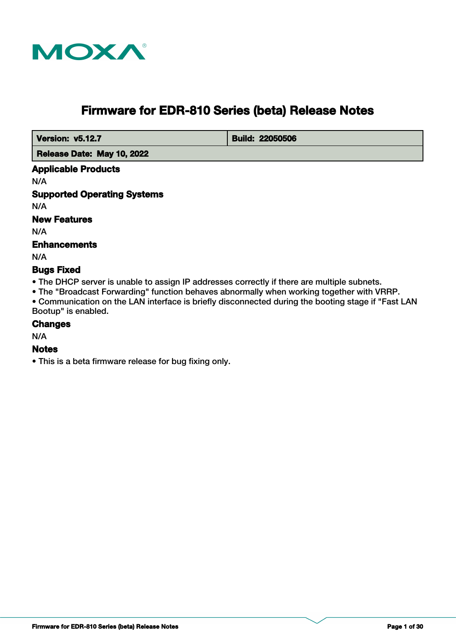

# **Firmware for EDR-810 Series (beta) Release Notes**

**Version: v5.12.7 Build: 22050506** 

 **Release Date: May 10, 2022**

#### **Applicable Products**

N/A

## **Supported Operating Systems**

N/A

## **New Features**

N/A

## **Enhancements**

N/A

## **Bugs Fixed**

• The DHCP server is unable to assign IP addresses correctly if there are multiple subnets.

• The "Broadcast Forwarding" function behaves abnormally when working together with VRRP.

• Communication on the LAN interface is briefly disconnected during the booting stage if "Fast LAN Bootup" is enabled.

#### **Changes**

N/A

## **Notes**

• This is a beta firmware release for bug fixing only.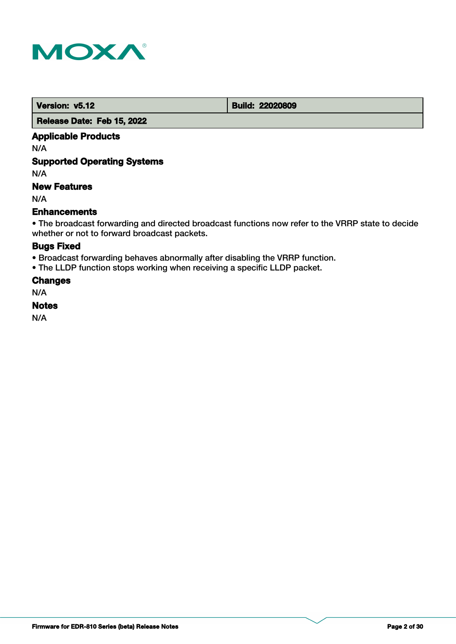

 **Version: v5.12 Build: 22020809** 

 **Release Date: Feb 15, 2022**

## **Applicable Products**

N/A

## **Supported Operating Systems**

N/A

## **New Features**

N/A

## **Enhancements**

• The broadcast forwarding and directed broadcast functions now refer to the VRRP state to decide whether or not to forward broadcast packets.

## **Bugs Fixed**

• Broadcast forwarding behaves abnormally after disabling the VRRP function.

• The LLDP function stops working when receiving a specific LLDP packet.

**Changes**

N/A

#### **Notes**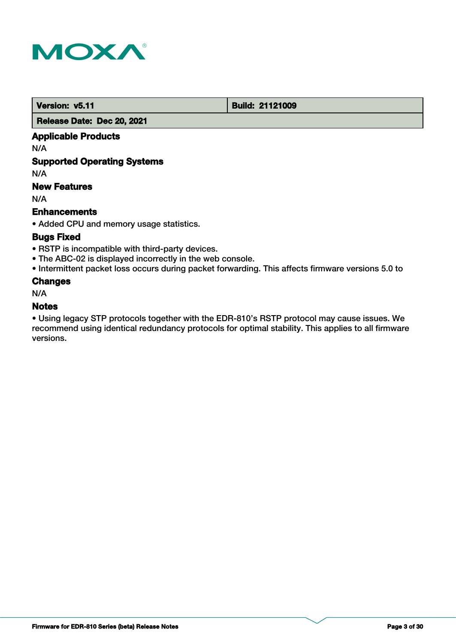

 **Version: v5.11 Build: 21121009** 

 **Release Date: Dec 20, 2021**

## **Applicable Products**

N/A

## **Supported Operating Systems**

N/A

## **New Features**

N/A

## **Enhancements**

• Added CPU and memory usage statistics.

## **Bugs Fixed**

- RSTP is incompatible with third-party devices.
- The ABC-02 is displayed incorrectly in the web console.
- Intermittent packet loss occurs during packet forwarding. This affects firmware versions 5.0 to

## **Changes**

N/A

#### **Notes**

• Using legacy STP protocols together with the EDR-810's RSTP protocol may cause issues. We recommend using identical redundancy protocols for optimal stability. This applies to all firmware versions.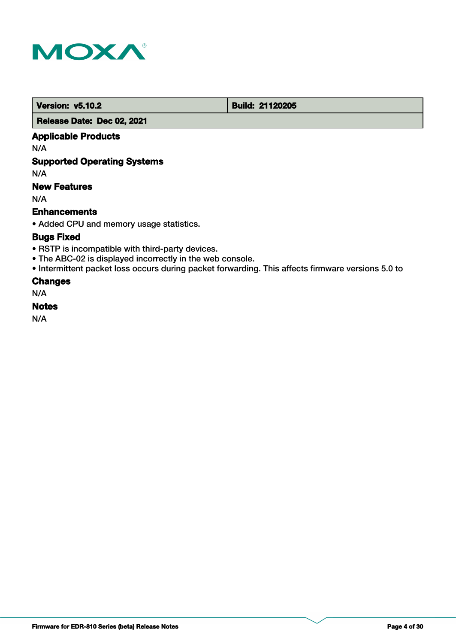

**Version: v5.10.2 Build: 21120205** 

 **Release Date: Dec 02, 2021**

## **Applicable Products**

N/A

## **Supported Operating Systems**

N/A

## **New Features**

N/A

## **Enhancements**

• Added CPU and memory usage statistics.

## **Bugs Fixed**

- RSTP is incompatible with third-party devices.
- The ABC-02 is displayed incorrectly in the web console.
- Intermittent packet loss occurs during packet forwarding. This affects firmware versions 5.0 to

## **Changes**

N/A

## **Notes**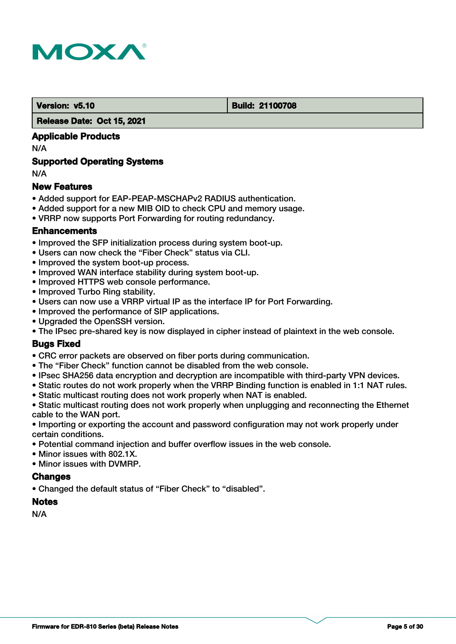

#### **Version: v5.10 Build: 21100708**

#### **Release Date: Oct 15, 2021**

## **Applicable Products**

N/A

## **Supported Operating Systems**

N/A

## **New Features**

- Added support for EAP-PEAP-MSCHAPv2 RADIUS authentication.
- Added support for a new MIB OID to check CPU and memory usage.
- VRRP now supports Port Forwarding for routing redundancy.

## **Enhancements**

- Improved the SFP initialization process during system boot-up.
- Users can now check the "Fiber Check" status via CLI.
- Improved the system boot-up process.
- Improved WAN interface stability during system boot-up.
- Improved HTTPS web console performance.
- Improved Turbo Ring stability.
- Users can now use a VRRP virtual IP as the interface IP for Port Forwarding.
- Improved the performance of SIP applications.
- Upgraded the OpenSSH version.
- The IPsec pre-shared key is now displayed in cipher instead of plaintext in the web console.

## **Bugs Fixed**

- CRC error packets are observed on fiber ports during communication.
- The "Fiber Check" function cannot be disabled from the web console.
- IPsec SHA256 data encryption and decryption are incompatible with third-party VPN devices.
- Static routes do not work properly when the VRRP Binding function is enabled in 1:1 NAT rules.
- Static multicast routing does not work properly when NAT is enabled.
- Static multicast routing does not work properly when unplugging and reconnecting the Ethernet cable to the WAN port.
- Importing or exporting the account and password configuration may not work properly under certain conditions.
- Potential command injection and buffer overflow issues in the web console.
- Minor issues with 802.1X.
- Minor issues with DVMRP.

## **Changes**

• Changed the default status of "Fiber Check" to "disabled".

## **Notes**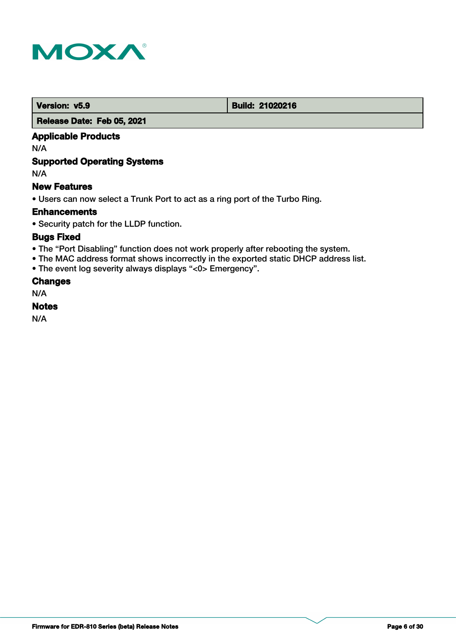

**Version: v5.9 Build: 21020216** 

 **Release Date: Feb 05, 2021**

## **Applicable Products**

N/A

## **Supported Operating Systems**

N/A

## **New Features**

• Users can now select a Trunk Port to act as a ring port of the Turbo Ring.

## **Enhancements**

• Security patch for the LLDP function.

## **Bugs Fixed**

- The "Port Disabling" function does not work properly after rebooting the system.
- The MAC address format shows incorrectly in the exported static DHCP address list.
- The event log severity always displays "<0> Emergency".

## **Changes**

N/A

## **Notes**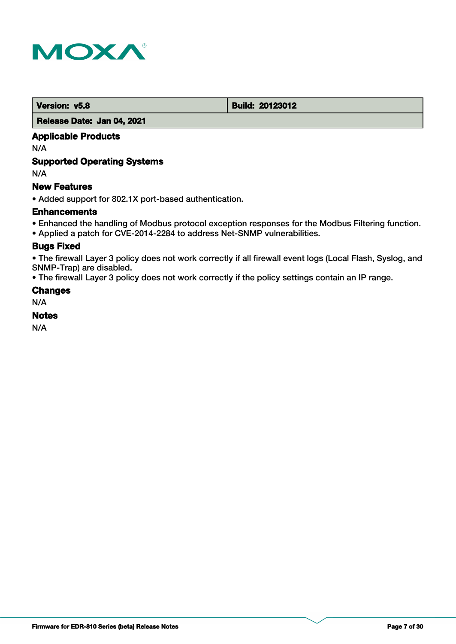

 **Version: v5.8 Build: 20123012** 

## **Release Date: Jan 04, 2021**

## **Applicable Products**

N/A

## **Supported Operating Systems**

N/A

## **New Features**

• Added support for 802.1X port-based authentication.

## **Enhancements**

- Enhanced the handling of Modbus protocol exception responses for the Modbus Filtering function.
- Applied a patch for CVE-2014-2284 to address Net-SNMP vulnerabilities.

## **Bugs Fixed**

• The firewall Layer 3 policy does not work correctly if all firewall event logs (Local Flash, Syslog, and SNMP-Trap) are disabled.

• The firewall Layer 3 policy does not work correctly if the policy settings contain an IP range.

## **Changes**

N/A

## **Notes**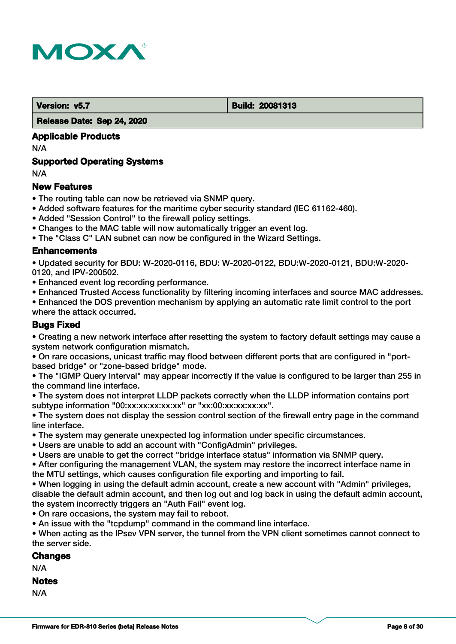

 **Version: v5.7 Build: 20081313** 

 **Release Date: Sep 24, 2020**

## **Applicable Products**

N/A

## **Supported Operating Systems**

N/A

## **New Features**

- The routing table can now be retrieved via SNMP query.
- Added software features for the maritime cyber security standard (IEC 61162-460).
- Added "Session Control" to the firewall policy settings.
- Changes to the MAC table will now automatically trigger an event log.
- The "Class C" LAN subnet can now be configured in the Wizard Settings.

## **Enhancements**

• Updated security for BDU: W-2020-0116, BDU: W-2020-0122, BDU:W-2020-0121, BDU:W-2020- 0120, and IPV-200502.

- Enhanced event log recording performance.
- Enhanced Trusted Access functionality by filtering incoming interfaces and source MAC addresses.
- Enhanced the DOS prevention mechanism by applying an automatic rate limit control to the port where the attack occurred.

## **Bugs Fixed**

• Creating a new network interface after resetting the system to factory default settings may cause a system network configuration mismatch.

• On rare occasions, unicast traffic may flood between different ports that are configured in "portbased bridge" or "zone-based bridge" mode.

• The "IGMP Query Interval" may appear incorrectly if the value is configured to be larger than 255 in the command line interface.

• The system does not interpret LLDP packets correctly when the LLDP information contains port subtype information "00:xx:xx:xx:xx:xx" or "xx:00:xx:xx:xx:xx".

• The system does not display the session control section of the firewall entry page in the command line interface.

- The system may generate unexpected log information under specific circumstances.
- Users are unable to add an account with "ConfigAdmin" privileges.
- Users are unable to get the correct "bridge interface status" information via SNMP query.

• After configuring the management VLAN, the system may restore the incorrect interface name in the MTU settings, which causes configuration file exporting and importing to fail.

- When logging in using the default admin account, create a new account with "Admin" privileges, disable the default admin account, and then log out and log back in using the default admin account, the system incorrectly triggers an "Auth Fail" event log.
- On rare occasions, the system may fail to reboot.
- An issue with the "tcpdump" command in the command line interface.

• When acting as the IPsev VPN server, the tunnel from the VPN client sometimes cannot connect to the server side.

## **Changes**

N/A

## **Notes**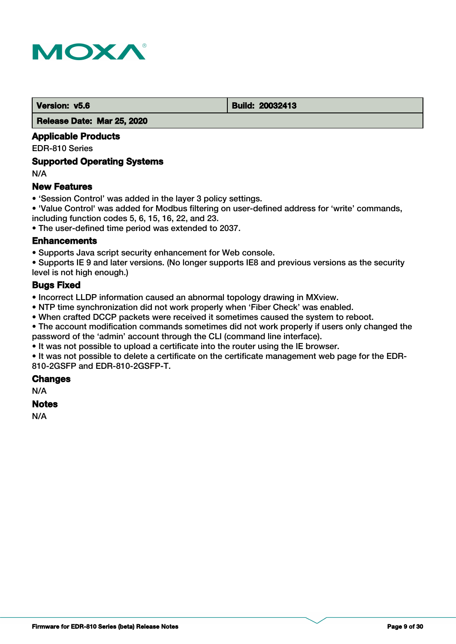

#### **Version: v5.6 Build: 20032413**

 **Release Date: Mar 25, 2020**

## **Applicable Products**

EDR-810 Series

## **Supported Operating Systems**

N/A

## **New Features**

- 'Session Control' was added in the layer 3 policy settings.
- 'Value Control' was added for Modbus filtering on user-defined address for 'write' commands, including function codes 5, 6, 15, 16, 22, and 23.

• The user-defined time period was extended to 2037.

#### **Enhancements**

• Supports Java script security enhancement for Web console.

• Supports IE 9 and later versions. (No longer supports IE8 and previous versions as the security level is not high enough.)

## **Bugs Fixed**

• Incorrect LLDP information caused an abnormal topology drawing in MXview.

- NTP time synchronization did not work properly when 'Fiber Check' was enabled.
- When crafted DCCP packets were received it sometimes caused the system to reboot.

• The account modification commands sometimes did not work properly if users only changed the password of the 'admin' account through the CLI (command line interface).

• It was not possible to upload a certificate into the router using the IE browser.

• It was not possible to delete a certificate on the certificate management web page for the EDR-810-2GSFP and EDR-810-2GSFP-T.

#### **Changes**

N/A

#### **Notes**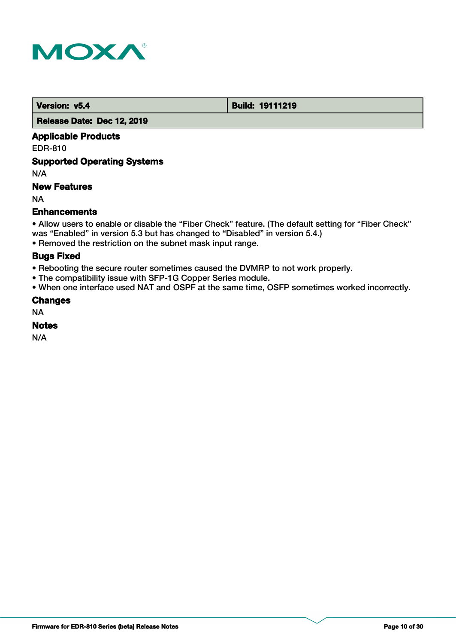

 **Version: v5.4 Build: 19111219** 

 **Release Date: Dec 12, 2019**

## **Applicable Products**

EDR-810

## **Supported Operating Systems**

N/A

## **New Features**

NA

## **Enhancements**

• Allow users to enable or disable the "Fiber Check" feature. (The default setting for "Fiber Check" was "Enabled" in version 5.3 but has changed to "Disabled" in version 5.4.)

• Removed the restriction on the subnet mask input range.

## **Bugs Fixed**

- Rebooting the secure router sometimes caused the DVMRP to not work properly.
- The compatibility issue with SFP-1G Copper Series module.
- When one interface used NAT and OSPF at the same time, OSFP sometimes worked incorrectly.

## **Changes**

NA

## **Notes**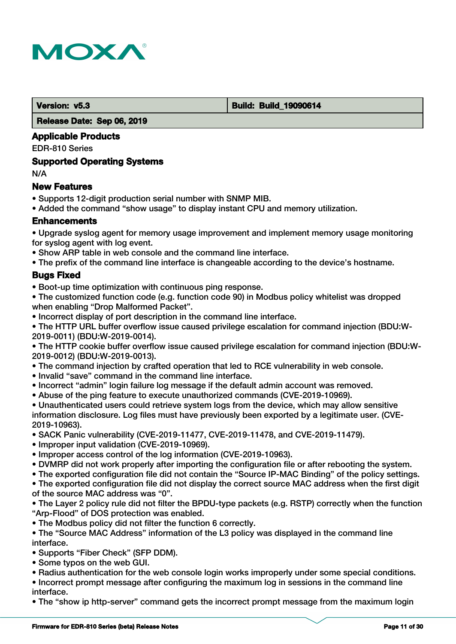

 **Version: v5.3 Build: Build: Build: 19090614** 

 **Release Date: Sep 06, 2019**

## **Applicable Products**

EDR-810 Series

## **Supported Operating Systems**

N/A

## **New Features**

- Supports 12-digit production serial number with SNMP MIB.
- Added the command "show usage" to display instant CPU and memory utilization.

## **Enhancements**

• Upgrade syslog agent for memory usage improvement and implement memory usage monitoring for syslog agent with log event.

- Show ARP table in web console and the command line interface.
- The prefix of the command line interface is changeable according to the device's hostname.

## **Bugs Fixed**

- Boot-up time optimization with continuous ping response.
- The customized function code (e.g. function code 90) in Modbus policy whitelist was dropped when enabling "Drop Malformed Packet".
- Incorrect display of port description in the command line interface.

• The HTTP URL buffer overflow issue caused privilege escalation for command injection (BDU:W-2019-0011) (BDU:W-2019-0014).

• The HTTP cookie buffer overflow issue caused privilege escalation for command injection (BDU:W-2019-0012) (BDU:W-2019-0013).

- The command injection by crafted operation that led to RCE vulnerability in web console.
- Invalid "save" command in the command line interface.
- Incorrect "admin" login failure log message if the default admin account was removed.
- Abuse of the ping feature to execute unauthorized commands (CVE-2019-10969).

• Unauthenticated users could retrieve system logs from the device, which may allow sensitive information disclosure. Log files must have previously been exported by a legitimate user. (CVE-2019-10963).

- SACK Panic vulnerability (CVE-2019-11477, CVE-2019-11478, and CVE-2019-11479).
- Improper input validation (CVE-2019-10969).
- Improper access control of the log information (CVE-2019-10963).
- DVMRP did not work properly after importing the configuration file or after rebooting the system.
- The exported configuration file did not contain the "Source IP-MAC Binding" of the policy settings.

• The exported configuration file did not display the correct source MAC address when the first digit of the source MAC address was "0".

• The Layer 2 policy rule did not filter the BPDU-type packets (e.g. RSTP) correctly when the function "Arp-Flood" of DOS protection was enabled.

• The Modbus policy did not filter the function 6 correctly.

• The "Source MAC Address" information of the L3 policy was displayed in the command line interface.

• Supports "Fiber Check" (SFP DDM).

- Some typos on the web GUI.
- Radius authentication for the web console login works improperly under some special conditions.

• Incorrect prompt message after configuring the maximum log in sessions in the command line interface.

• The "show ip http-server" command gets the incorrect prompt message from the maximum login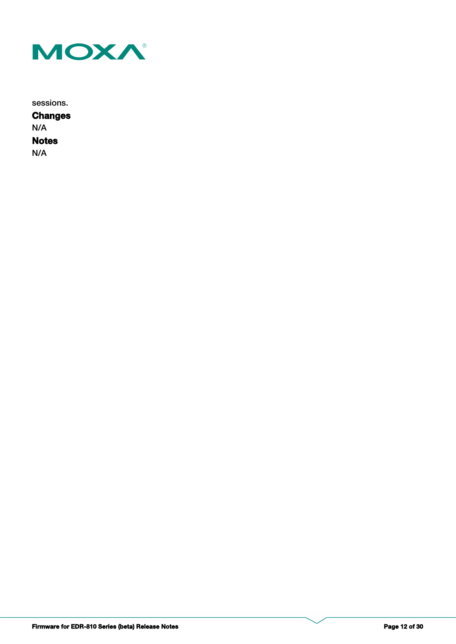

sessions.

**Notes Changes** N/A N/A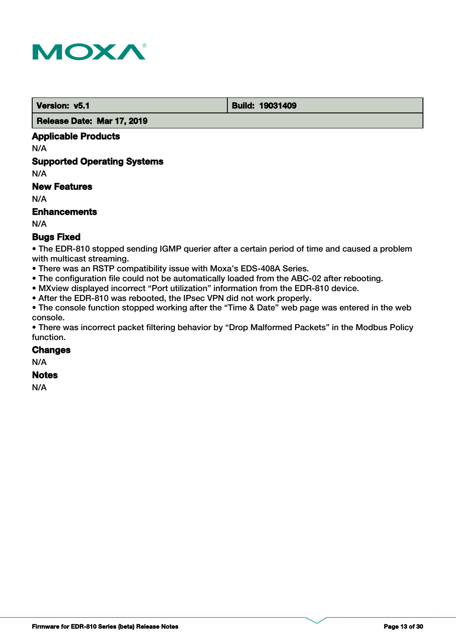

 **Version: v5.1 Build: 19031409** 

 **Release Date: Mar 17, 2019**

## **Applicable Products**

N/A

## **Supported Operating Systems**

N/A

## **New Features**

N/A

## **Enhancements**

N/A

## **Bugs Fixed**

• The EDR-810 stopped sending IGMP querier after a certain period of time and caused a problem with multicast streaming.

- There was an RSTP compatibility issue with Moxa's EDS-408A Series.
- The configuration file could not be automatically loaded from the ABC-02 after rebooting.
- MXview displayed incorrect "Port utilization" information from the EDR-810 device.
- After the EDR-810 was rebooted, the IPsec VPN did not work properly.

• The console function stopped working after the "Time & Date" web page was entered in the web console.

• There was incorrect packet filtering behavior by "Drop Malformed Packets" in the Modbus Policy function.

#### **Changes**

N/A

#### **Notes**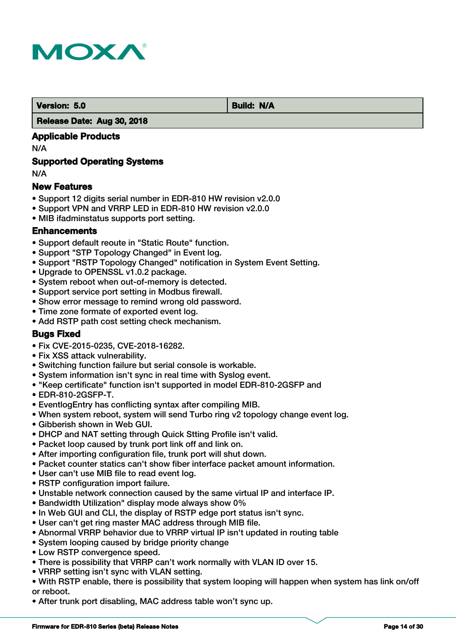

**Version: 5.0 Build: N/A** 

#### **Release Date: Aug 30, 2018**

## **Applicable Products**

N/A

## **Supported Operating Systems**

N/A

## **New Features**

- Support 12 digits serial number in EDR-810 HW revision v2.0.0
- Support VPN and VRRP LED in EDR-810 HW revision v2.0.0
- MIB ifadminstatus supports port setting.

## **Enhancements**

- Support default reoute in "Static Route" function.
- Support "STP Topology Changed" in Event log.
- Support "RSTP Topology Changed" notification in System Event Setting.
- Upgrade to OPENSSL v1.0.2 package.
- System reboot when out-of-memory is detected.
- Support service port setting in Modbus firewall.
- Show error message to remind wrong old password.
- Time zone formate of exported event log.
- Add RSTP path cost setting check mechanism.

## **Bugs Fixed**

- Fix CVE-2015-0235, CVE-2018-16282.
- Fix XSS attack vulnerability.
- Switching function failure but serial console is workable.
- System information isn't sync in real time with Syslog event.
- "Keep certificate" function isn't supported in model EDR-810-2GSFP and
- EDR-810-2GSFP-T.
- EventlogEntry has conflicting syntax after compiling MIB.
- When system reboot, system will send Turbo ring v2 topology change event log.
- Gibberish shown in Web GUI.
- DHCP and NAT setting through Quick Stting Profile isn't valid.
- Packet loop caused by trunk port link off and link on.
- After importing configuration file, trunk port will shut down.
- Packet counter statics can't show fiber interface packet amount information.
- User can't use MIB file to read event log.
- RSTP configuration import failure.
- Unstable network connection caused by the same virtual IP and interface IP.
- Bandwidth Utilization" display mode always show 0%
- In Web GUI and CLI, the display of RSTP edge port status isn't sync.
- User can't get ring master MAC address through MIB file.
- Abnormal VRRP behavior due to VRRP virtual IP isn't updated in routing table
- System looping caused by bridge priority change
- Low RSTP convergence speed.
- There is possibility that VRRP can't work normally with VLAN ID over 15.
- VRRP setting isn't sync with VLAN setting.
- With RSTP enable, there is possibility that system looping will happen when system has link on/off or reboot.
- After trunk port disabling, MAC address table won't sync up.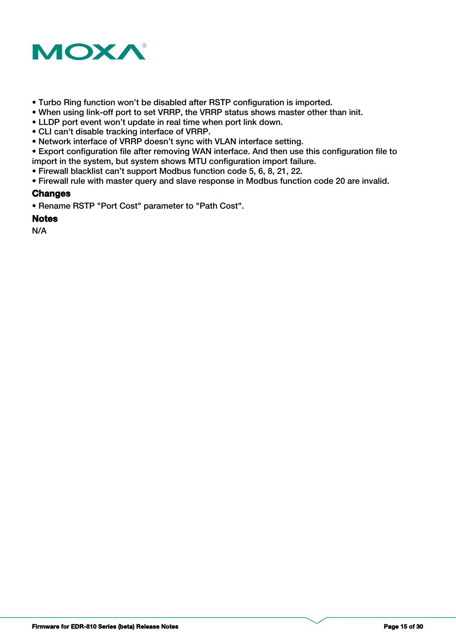

- Turbo Ring function won't be disabled after RSTP configuration is imported.
- When using link-off port to set VRRP, the VRRP status shows master other than init.
- LLDP port event won't update in real time when port link down.
- CLI can't disable tracking interface of VRRP.
- Network interface of VRRP doesn't sync with VLAN interface setting.
- Export configuration file after removing WAN interface. And then use this configuration file to import in the system, but system shows MTU configuration import failure.
- Firewall blacklist can't support Modbus function code 5, 6, 8, 21, 22.
- Firewall rule with master query and slave response in Modbus function code 20 are invalid.

## **Changes**

• Rename RSTP "Port Cost" parameter to "Path Cost".

## **Notes**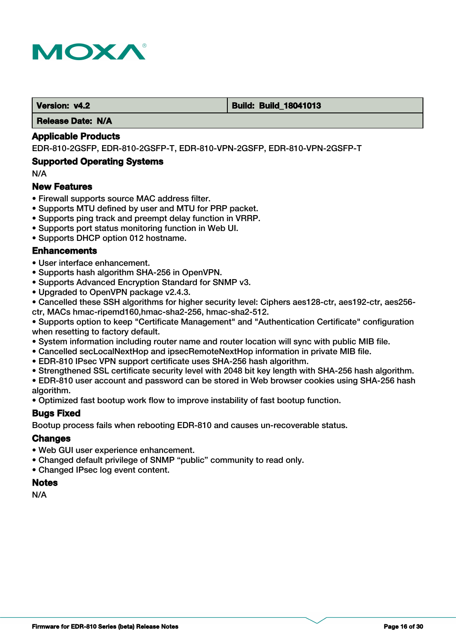

#### **Version: v4.2 Build: Build: Build: 18041013**

 **Release Date: N/A**

#### **Applicable Products**

EDR-810-2GSFP, EDR-810-2GSFP-T, EDR-810-VPN-2GSFP, EDR-810-VPN-2GSFP-T

#### **Supported Operating Systems**

N/A

#### **New Features**

- Firewall supports source MAC address filter.
- Supports MTU defined by user and MTU for PRP packet.
- Supports ping track and preempt delay function in VRRP.
- Supports port status monitoring function in Web UI.
- Supports DHCP option 012 hostname.

#### **Enhancements**

- User interface enhancement.
- Supports hash algorithm SHA-256 in OpenVPN.
- Supports Advanced Encryption Standard for SNMP v3.
- Upgraded to OpenVPN package v2.4.3.
- Cancelled these SSH algorithms for higher security level: Ciphers aes128-ctr, aes192-ctr, aes256 ctr, MACs hmac-ripemd160,hmac-sha2-256, hmac-sha2-512.

• Supports option to keep "Certificate Management" and "Authentication Certificate" configuration when resetting to factory default.

- System information including router name and router location will sync with public MIB file.
- Cancelled secLocalNextHop and ipsecRemoteNextHop information in private MIB file.
- EDR-810 IPsec VPN support certificate uses SHA-256 hash algorithm.
- Strengthened SSL certificate security level with 2048 bit key length with SHA-256 hash algorithm.

• EDR-810 user account and password can be stored in Web browser cookies using SHA-256 hash algorithm.

• Optimized fast bootup work flow to improve instability of fast bootup function.

#### **Bugs Fixed**

Bootup process fails when rebooting EDR-810 and causes un-recoverable status.

#### **Changes**

- Web GUI user experience enhancement.
- Changed default privilege of SNMP "public" community to read only.
- Changed IPsec log event content.

### **Notes**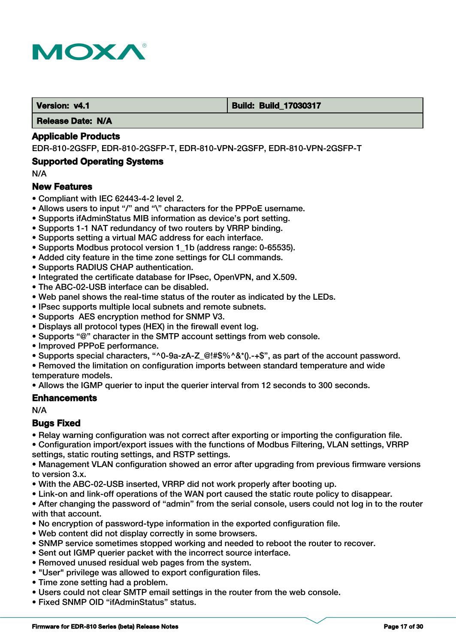

#### **Version: v4.1 Build: Build: Build: 17030317**

 **Release Date: N/A**

#### **Applicable Products**

EDR-810-2GSFP, EDR-810-2GSFP-T, EDR-810-VPN-2GSFP, EDR-810-VPN-2GSFP-T

#### **Supported Operating Systems**

N/A

#### **New Features**

- Compliant with IEC 62443-4-2 level 2.
- Allows users to input "/" and "\" characters for the PPPoE username.
- Supports ifAdminStatus MIB information as device's port setting.
- Supports 1-1 NAT redundancy of two routers by VRRP binding.
- Supports setting a virtual MAC address for each interface.
- Supports Modbus protocol version 1\_1b (address range: 0-65535).
- Added city feature in the time zone settings for CLI commands.
- Supports RADIUS CHAP authentication.
- Integrated the certificate database for IPsec, OpenVPN, and X.509.
- The ABC-02-USB interface can be disabled.
- Web panel shows the real-time status of the router as indicated by the LEDs.
- IPsec supports multiple local subnets and remote subnets.
- Supports AES encryption method for SNMP V3.
- Displays all protocol types (HEX) in the firewall event log.
- Supports "@" character in the SMTP account settings from web console.
- Improved PPPoE performance.
- Supports special characters, "^0-9a-zA-Z @!#\$%^&\*().-+\$", as part of the account password.
- Removed the limitation on configuration imports between standard temperature and wide temperature models.

• Allows the IGMP querier to input the querier interval from 12 seconds to 300 seconds.

#### **Enhancements**

N/A

#### **Bugs Fixed**

- Relay warning configuration was not correct after exporting or importing the configuration file.
- Configuration import/export issues with the functions of Modbus Filtering, VLAN settings, VRRP settings, static routing settings, and RSTP settings.

• Management VLAN configuration showed an error after upgrading from previous firmware versions to version 3.x.

- With the ABC-02-USB inserted, VRRP did not work properly after booting up.
- Link-on and link-off operations of the WAN port caused the static route policy to disappear.

• After changing the password of "admin" from the serial console, users could not log in to the router with that account.

- No encryption of password-type information in the exported configuration file.
- Web content did not display correctly in some browsers.
- SNMP service sometimes stopped working and needed to reboot the router to recover.
- Sent out IGMP querier packet with the incorrect source interface.
- Removed unused residual web pages from the system.
- "User" privilege was allowed to export configuration files.
- Time zone setting had a problem.
- Users could not clear SMTP email settings in the router from the web console.
- Fixed SNMP OID "ifAdminStatus" status.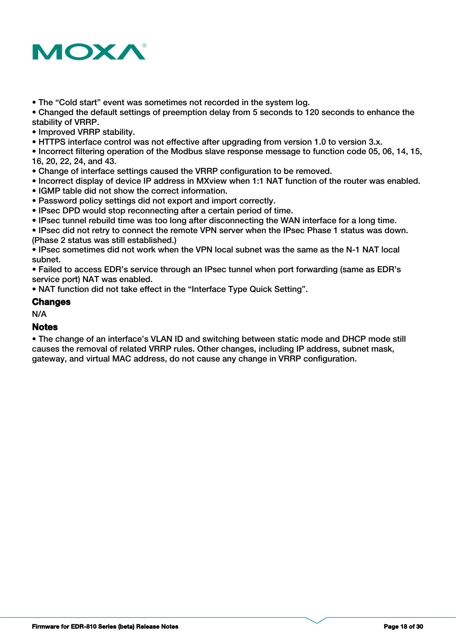

• The "Cold start" event was sometimes not recorded in the system log.

• Changed the default settings of preemption delay from 5 seconds to 120 seconds to enhance the stability of VRRP.

• Improved VRRP stability.

• HTTPS interface control was not effective after upgrading from version 1.0 to version 3.x.

• Incorrect filtering operation of the Modbus slave response message to function code 05, 06, 14, 15, 16, 20, 22, 24, and 43.

- Change of interface settings caused the VRRP configuration to be removed.
- Incorrect display of device IP address in MXview when 1:1 NAT function of the router was enabled.
- IGMP table did not show the correct information.
- Password policy settings did not export and import correctly.
- IPsec DPD would stop reconnecting after a certain period of time.
- IPsec tunnel rebuild time was too long after disconnecting the WAN interface for a long time.

• IPsec did not retry to connect the remote VPN server when the IPsec Phase 1 status was down. (Phase 2 status was still established.)

• IPsec sometimes did not work when the VPN local subnet was the same as the N-1 NAT local subnet.

• Failed to access EDR's service through an IPsec tunnel when port forwarding (same as EDR's service port) NAT was enabled.

• NAT function did not take effect in the "Interface Type Quick Setting".

#### **Changes**

N/A

## **Notes**

• The change of an interface's VLAN ID and switching between static mode and DHCP mode still causes the removal of related VRRP rules. Other changes, including IP address, subnet mask, gateway, and virtual MAC address, do not cause any change in VRRP configuration.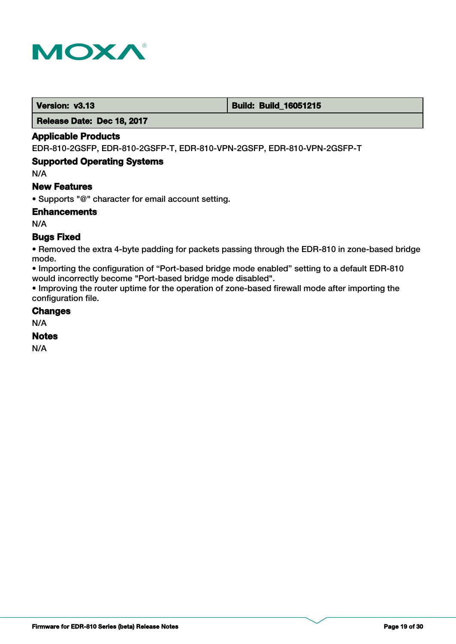

 **Version: v3.13 Build: Build: Build: 16051215** 

 **Release Date: Dec 18, 2017**

## **Applicable Products**

EDR-810-2GSFP, EDR-810-2GSFP-T, EDR-810-VPN-2GSFP, EDR-810-VPN-2GSFP-T

## **Supported Operating Systems**

N/A

## **New Features**

• Supports "@" character for email account setting.

**Enhancements**

N/A

## **Bugs Fixed**

• Removed the extra 4-byte padding for packets passing through the EDR-810 in zone-based bridge mode.

• Importing the configuration of "Port-based bridge mode enabled" setting to a default EDR-810 would incorrectly become "Port-based bridge mode disabled".

• Improving the router uptime for the operation of zone-based firewall mode after importing the configuration file.

#### **Changes**

N/A

## **Notes**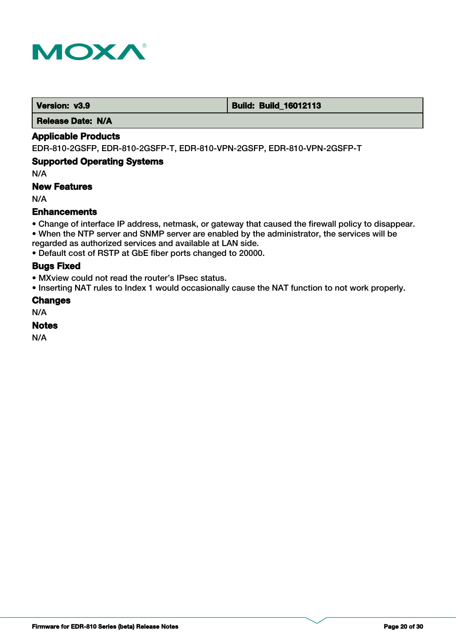

 **Version: v3.9 <b>Build: Build: Build: Build: 16012113** 

 **Release Date: N/A**

## **Applicable Products**

EDR-810-2GSFP, EDR-810-2GSFP-T, EDR-810-VPN-2GSFP, EDR-810-VPN-2GSFP-T

## **Supported Operating Systems**

N/A

## **New Features**

N/A

## **Enhancements**

- Change of interface IP address, netmask, or gateway that caused the firewall policy to disappear.
- When the NTP server and SNMP server are enabled by the administrator, the services will be
- regarded as authorized services and available at LAN side.
- Default cost of RSTP at GbE fiber ports changed to 20000.

## **Bugs Fixed**

- MXview could not read the router's IPsec status.
- Inserting NAT rules to Index 1 would occasionally cause the NAT function to not work properly.

## **Changes**

N/A

## **Notes**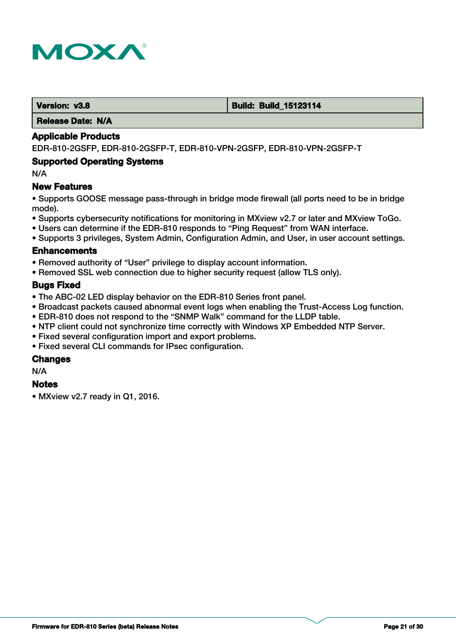

#### **Version: v3.8 Build: Build: Build: Build: 15123114**

 **Release Date: N/A**

#### **Applicable Products**

EDR-810-2GSFP, EDR-810-2GSFP-T, EDR-810-VPN-2GSFP, EDR-810-VPN-2GSFP-T

#### **Supported Operating Systems**

N/A

## **New Features**

• Supports GOOSE message pass-through in bridge mode firewall (all ports need to be in bridge mode).

- Supports cybersecurity notifications for monitoring in MXview v2.7 or later and MXview ToGo.
- Users can determine if the EDR-810 responds to "Ping Request" from WAN interface.
- Supports 3 privileges, System Admin, Configuration Admin, and User, in user account settings.

#### **Enhancements**

- Removed authority of "User" privilege to display account information.
- Removed SSL web connection due to higher security request (allow TLS only).

#### **Bugs Fixed**

- The ABC-02 LED display behavior on the EDR-810 Series front panel.
- Broadcast packets caused abnormal event logs when enabling the Trust-Access Log function.
- EDR-810 does not respond to the "SNMP Walk" command for the LLDP table.
- NTP client could not synchronize time correctly with Windows XP Embedded NTP Server.
- Fixed several configuration import and export problems.
- Fixed several CLI commands for IPsec configuration.

#### **Changes**

N/A

#### **Notes**

• MXview v2.7 ready in Q1, 2016.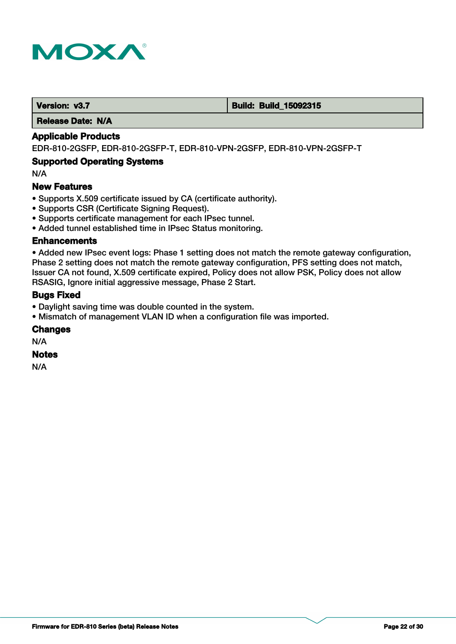

 **Version: v3.7 Build: Build: Build: 15092315** 

 **Release Date: N/A**

## **Applicable Products**

EDR-810-2GSFP, EDR-810-2GSFP-T, EDR-810-VPN-2GSFP, EDR-810-VPN-2GSFP-T

## **Supported Operating Systems**

N/A

## **New Features**

- Supports X.509 certificate issued by CA (certificate authority).
- Supports CSR (Certificate Signing Request).
- Supports certificate management for each IPsec tunnel.
- Added tunnel established time in IPsec Status monitoring.

#### **Enhancements**

• Added new IPsec event logs: Phase 1 setting does not match the remote gateway configuration, Phase 2 setting does not match the remote gateway configuration, PFS setting does not match, Issuer CA not found, X.509 certificate expired, Policy does not allow PSK, Policy does not allow RSASIG, Ignore initial aggressive message, Phase 2 Start.

#### **Bugs Fixed**

- Daylight saving time was double counted in the system.
- Mismatch of management VLAN ID when a configuration file was imported.

#### **Changes**

N/A

## **Notes**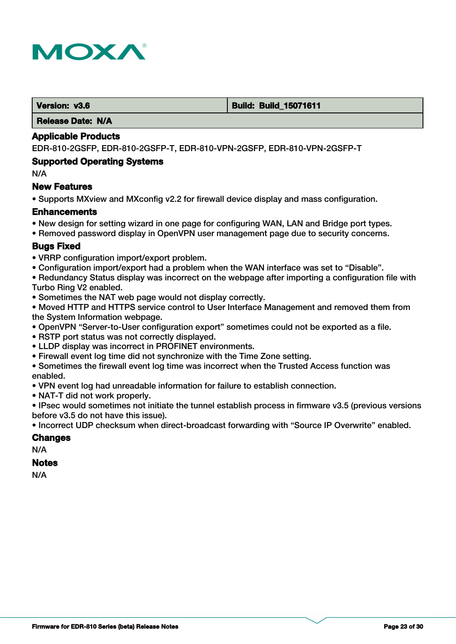

#### **Version: v3.6 Build: Build: Build: Build: 15071611**

 **Release Date: N/A**

#### **Applicable Products**

EDR-810-2GSFP, EDR-810-2GSFP-T, EDR-810-VPN-2GSFP, EDR-810-VPN-2GSFP-T

#### **Supported Operating Systems**

N/A

#### **New Features**

• Supports MXview and MXconfig v2.2 for firewall device display and mass configuration.

#### **Enhancements**

- New design for setting wizard in one page for configuring WAN, LAN and Bridge port types.
- Removed password display in OpenVPN user management page due to security concerns.

## **Bugs Fixed**

- VRRP configuration import/export problem.
- Configuration import/export had a problem when the WAN interface was set to "Disable".
- Redundancy Status display was incorrect on the webpage after importing a configuration file with Turbo Ring V2 enabled.
- Sometimes the NAT web page would not display correctly.

• Moved HTTP and HTTPS service control to User Interface Management and removed them from the System Information webpage.

- OpenVPN "Server-to-User configuration export" sometimes could not be exported as a file.
- RSTP port status was not correctly displayed.
- LLDP display was incorrect in PROFINET environments.
- Firewall event log time did not synchronize with the Time Zone setting.
- Sometimes the firewall event log time was incorrect when the Trusted Access function was enabled.
- VPN event log had unreadable information for failure to establish connection.
- NAT-T did not work properly.

• IPsec would sometimes not initiate the tunnel establish process in firmware v3.5 (previous versions before v3.5 do not have this issue).

• Incorrect UDP checksum when direct-broadcast forwarding with "Source IP Overwrite" enabled.

#### **Changes**

N/A

## **Notes**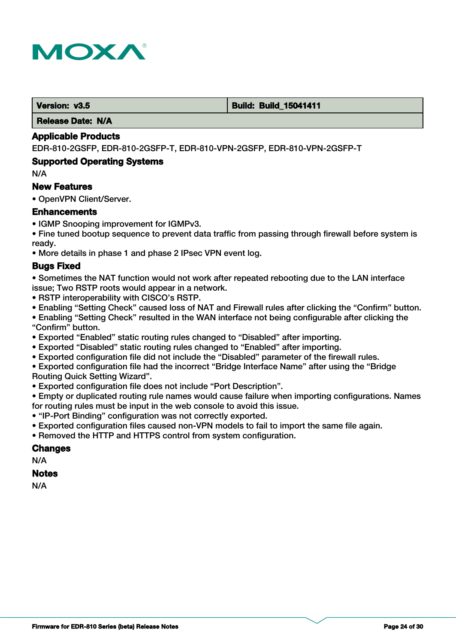

#### **Version: v3.5 Build: Build: Build: Build: Build: Build: Build: Build: Build: Build: Build: 15041411**

 **Release Date: N/A**

#### **Applicable Products**

EDR-810-2GSFP, EDR-810-2GSFP-T, EDR-810-VPN-2GSFP, EDR-810-VPN-2GSFP-T

#### **Supported Operating Systems**

N/A

## **New Features**

• OpenVPN Client/Server.

#### **Enhancements**

- IGMP Snooping improvement for IGMPv3.
- Fine tuned bootup sequence to prevent data traffic from passing through firewall before system is ready.
- More details in phase 1 and phase 2 IPsec VPN event log.

#### **Bugs Fixed**

- Sometimes the NAT function would not work after repeated rebooting due to the LAN interface issue; Two RSTP roots would appear in a network.
- RSTP interoperability with CISCO's RSTP.
- Enabling "Setting Check" caused loss of NAT and Firewall rules after clicking the "Confirm" button.

• Enabling "Setting Check" resulted in the WAN interface not being configurable after clicking the "Confirm" button.

- Exported "Enabled" static routing rules changed to "Disabled" after importing.
- Exported "Disabled" static routing rules changed to "Enabled" after importing.
- Exported configuration file did not include the "Disabled" parameter of the firewall rules.
- Exported configuration file had the incorrect "Bridge Interface Name" after using the "Bridge
- Routing Quick Setting Wizard".
- Exported configuration file does not include "Port Description".

• Empty or duplicated routing rule names would cause failure when importing configurations. Names for routing rules must be input in the web console to avoid this issue.

- "IP-Port Binding" configuration was not correctly exported.
- Exported configuration files caused non-VPN models to fail to import the same file again.
- Removed the HTTP and HTTPS control from system configuration.

## **Changes**

N/A

## **Notes**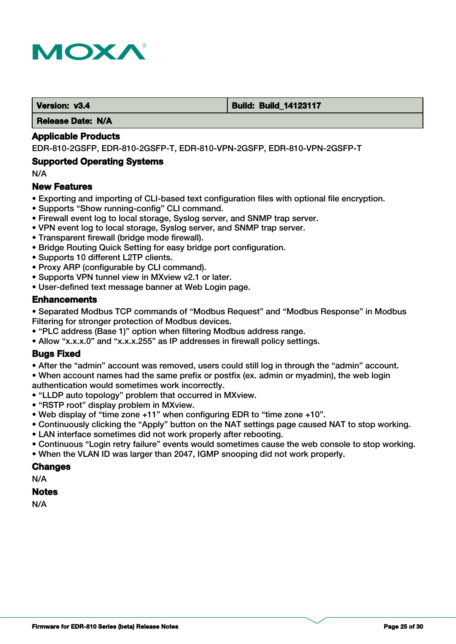

#### **Version: v3.4 Build: Build: Build: 14123117**

 **Release Date: N/A**

#### **Applicable Products**

EDR-810-2GSFP, EDR-810-2GSFP-T, EDR-810-VPN-2GSFP, EDR-810-VPN-2GSFP-T

#### **Supported Operating Systems**

N/A

#### **New Features**

- Exporting and importing of CLI-based text configuration files with optional file encryption.
- Supports "Show running-config" CLI command.
- Firewall event log to local storage, Syslog server, and SNMP trap server.
- VPN event log to local storage, Syslog server, and SNMP trap server.
- Transparent firewall (bridge mode firewall).
- Bridge Routing Quick Setting for easy bridge port configuration.
- Supports 10 different L2TP clients.
- Proxy ARP (configurable by CLI command).
- Supports VPN tunnel view in MXview v2.1 or later.
- User-defined text message banner at Web Login page.

## **Enhancements**

• Separated Modbus TCP commands of "Modbus Request" and "Modbus Response" in Modbus Filtering for stronger protection of Modbus devices.

- "PLC address (Base 1)" option when filtering Modbus address range.
- Allow "x.x.x.0" and "x.x.x.255" as IP addresses in firewall policy settings.

## **Bugs Fixed**

• After the "admin" account was removed, users could still log in through the "admin" account. • When account names had the same prefix or postfix (ex. admin or myadmin), the web login authentication would sometimes work incorrectly.

- "LLDP auto topology" problem that occurred in MXview.
- "RSTP root" display problem in MXview.
- Web display of "time zone +11" when configuring EDR to "time zone +10".
- Continuously clicking the "Apply" button on the NAT settings page caused NAT to stop working.
- LAN interface sometimes did not work properly after rebooting.
- Continuous "Login retry failure" events would sometimes cause the web console to stop working.
- When the VLAN ID was larger than 2047, IGMP snooping did not work properly.

### **Changes**

N/A

#### **Notes**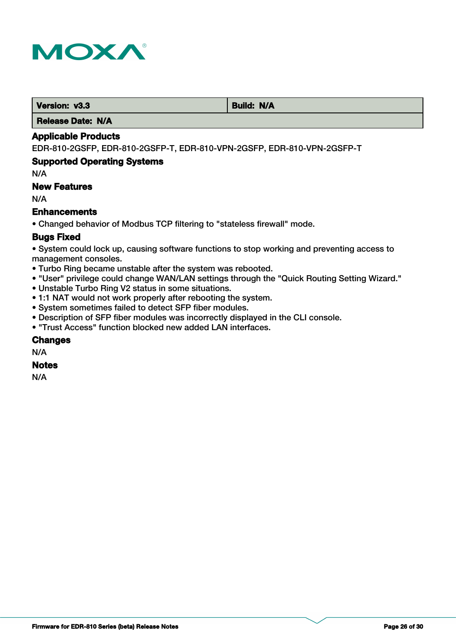

**Version: v3.3 Build: N/A** 

 **Release Date: N/A**

## **Applicable Products**

EDR-810-2GSFP, EDR-810-2GSFP-T, EDR-810-VPN-2GSFP, EDR-810-VPN-2GSFP-T

## **Supported Operating Systems**

N/A

## **New Features**

N/A

## **Enhancements**

• Changed behavior of Modbus TCP filtering to "stateless firewall" mode.

## **Bugs Fixed**

• System could lock up, causing software functions to stop working and preventing access to management consoles.

- Turbo Ring became unstable after the system was rebooted.
- "User" privilege could change WAN/LAN settings through the "Quick Routing Setting Wizard."
- Unstable Turbo Ring V2 status in some situations.
- 1:1 NAT would not work properly after rebooting the system.
- System sometimes failed to detect SFP fiber modules.
- Description of SFP fiber modules was incorrectly displayed in the CLI console.
- "Trust Access" function blocked new added LAN interfaces.

## **Changes**

N/A

## **Notes**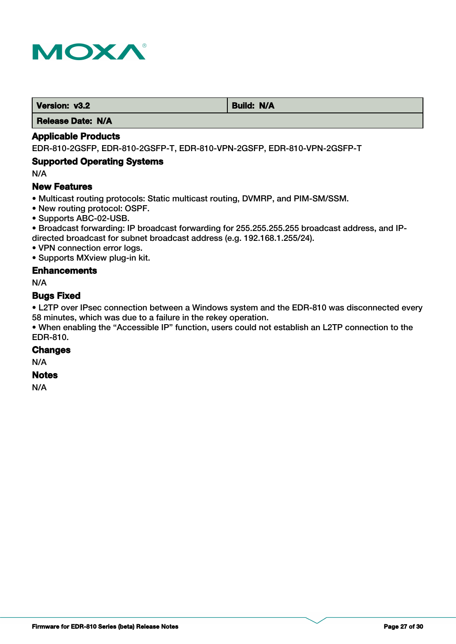

**Version: v3.2 Build: N/A** 

 **Release Date: N/A**

## **Applicable Products**

EDR-810-2GSFP, EDR-810-2GSFP-T, EDR-810-VPN-2GSFP, EDR-810-VPN-2GSFP-T

## **Supported Operating Systems**

N/A

## **New Features**

• Multicast routing protocols: Static multicast routing, DVMRP, and PIM-SM/SSM.

- New routing protocol: OSPF.
- Supports ABC-02-USB.

• Broadcast forwarding: IP broadcast forwarding for 255.255.255.255 broadcast address, and IPdirected broadcast for subnet broadcast address (e.g. 192.168.1.255/24).

• VPN connection error logs.

• Supports MXview plug-in kit.

## **Enhancements**

N/A

#### **Bugs Fixed**

• L2TP over IPsec connection between a Windows system and the EDR-810 was disconnected every 58 minutes, which was due to a failure in the rekey operation.

• When enabling the "Accessible IP" function, users could not establish an L2TP connection to the EDR-810.

#### **Changes**

N/A

#### **Notes**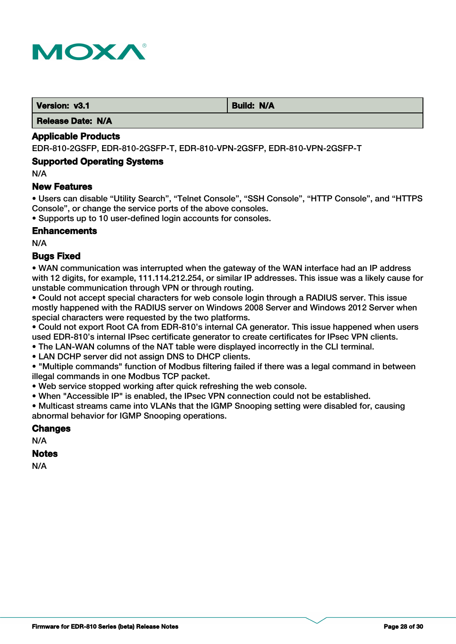

 **Version: v3.1 Build: N/A** 

 **Release Date: N/A**

## **Applicable Products**

EDR-810-2GSFP, EDR-810-2GSFP-T, EDR-810-VPN-2GSFP, EDR-810-VPN-2GSFP-T

#### **Supported Operating Systems**

N/A

#### **New Features**

• Users can disable "Utility Search", "Telnet Console", "SSH Console", "HTTP Console", and "HTTPS Console", or change the service ports of the above consoles.

• Supports up to 10 user-defined login accounts for consoles.

#### **Enhancements**

N/A

## **Bugs Fixed**

• WAN communication was interrupted when the gateway of the WAN interface had an IP address with 12 digits, for example, 111.114.212.254, or similar IP addresses. This issue was a likely cause for unstable communication through VPN or through routing.

• Could not accept special characters for web console login through a RADIUS server. This issue mostly happened with the RADIUS server on Windows 2008 Server and Windows 2012 Server when special characters were requested by the two platforms.

• Could not export Root CA from EDR-810's internal CA generator. This issue happened when users used EDR-810's internal IPsec certificate generator to create certificates for IPsec VPN clients.

• The LAN-WAN columns of the NAT table were displayed incorrectly in the CLI terminal.

• LAN DCHP server did not assign DNS to DHCP clients.

• "Multiple commands" function of Modbus filtering failed if there was a legal command in between illegal commands in one Modbus TCP packet.

• Web service stopped working after quick refreshing the web console.

• When "Accessible IP" is enabled, the IPsec VPN connection could not be established.

• Multicast streams came into VLANs that the IGMP Snooping setting were disabled for, causing abnormal behavior for IGMP Snooping operations.

#### **Changes**

N/A

#### **Notes**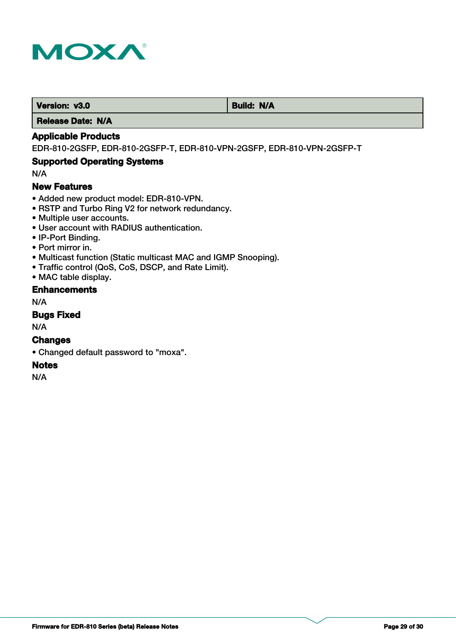

**Version: v3.0** Build: N/A

 **Release Date: N/A**

## **Applicable Products**

EDR-810-2GSFP, EDR-810-2GSFP-T, EDR-810-VPN-2GSFP, EDR-810-VPN-2GSFP-T

## **Supported Operating Systems**

N/A

## **New Features**

- Added new product model: EDR-810-VPN.
- RSTP and Turbo Ring V2 for network redundancy.
- Multiple user accounts.
- User account with RADIUS authentication.
- IP-Port Binding.
- Port mirror in.
- Multicast function (Static multicast MAC and IGMP Snooping).
- Traffic control (QoS, CoS, DSCP, and Rate Limit).
- MAC table display.

## **Enhancements**

N/A

## **Bugs Fixed**

N/A

## **Changes**

• Changed default password to "moxa".

## **Notes**